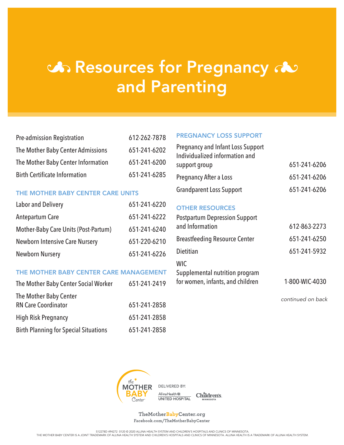# **්** Resources for Pregnancy  $\infty$ and Parenting

| <b>Pre-admission Registration</b>    | 612-262-7878 |
|--------------------------------------|--------------|
| The Mother Baby Center Admissions    | 651-241-6202 |
| The Mother Baby Center Information   | 651-241-6200 |
| <b>Birth Certificate Information</b> | 651-241-6285 |

### THE MOTHER BABY CENTER CARE UNITS

| <b>Labor and Delivery</b>             | 651-241-6220 |
|---------------------------------------|--------------|
| <b>Antepartum Care</b>                | 651-241-6222 |
| Mother-Baby Care Units (Post-Partum)  | 651-241-6240 |
| <b>Newborn Intensive Care Nursery</b> | 651-220-6210 |
| <b>Newborn Nursery</b>                | 651-241-6226 |

### THE MOTHER BABY CENTER CARE MANAGEMENT

| The Mother Baby Center Social Worker         | 651-241-2419 |
|----------------------------------------------|--------------|
| The Mother Baby Center                       |              |
| <b>RN Care Coordinator</b>                   | 651-241-2858 |
| <b>High Risk Pregnancy</b>                   | 651-241-2858 |
| <b>Birth Planning for Special Situations</b> | 651-241-2858 |

#### PREGNANCY LOSS SUPPORT

| <b>Pregnancy and Infant Loss Support</b><br>Individualized information and |                |
|----------------------------------------------------------------------------|----------------|
| support group                                                              | 651-241-6206   |
| <b>Pregnancy After a Loss</b>                                              | 651-241-6206   |
| <b>Grandparent Loss Support</b>                                            | 651-241-6206   |
| <b>OTHER RESOURCES</b>                                                     |                |
| <b>Postpartum Depression Support</b>                                       |                |
| and Information                                                            | 612-863-2273   |
| <b>Breastfeeding Resource Center</b>                                       | 651-241-6250   |
| Dietitian                                                                  | 651-241-5932   |
| <b>WIC</b>                                                                 |                |
| Supplemental nutrition program<br>for women, infants, and children         | 1-800-WIC-4030 |

*continued on back*



 $\begin{tabular}{c} Allinal Health \end{tabular} \begin{tabular}{c} Allinal Health \end{tabular} \begin{tabular}{c} \multicolumn{2}{c}{\textbf{All}} \end{tabular} \begin{tabular}{c} \multicolumn{2}{c}{\textbf{All}} \end{tabular} \begin{tabular}{c} \multicolumn{2}{c}{\textbf{All}} \end{tabular} \begin{tabular}{c} \multicolumn{2}{c}{\textbf{All}} \end{tabular} \begin{tabular}{c} \multicolumn{2}{c}{\textbf{All}} \end{tabular} \begin{tabular}{c} \multicolumn{2}{c}{\textbf{All}} \end{tabular} \begin{tabular}{c} \multic$ 

TheMotherBabyCenter.org Facebook.com/TheMotherBabyCenter

S12278D 494272 0120 © 2020 ALLINA HEALTH SYSTEM AND CHILDREN'S HOSPITALS AND CLINICS OF MINNESOTA.<br>THE MOTHER BABY CENTER IS A JOINT TRADEMARK OF ALLINA HEALTH SYSTEM AND CHILDREN'S HOSPITALS AND CLINICS OF MINNESOTA. AL